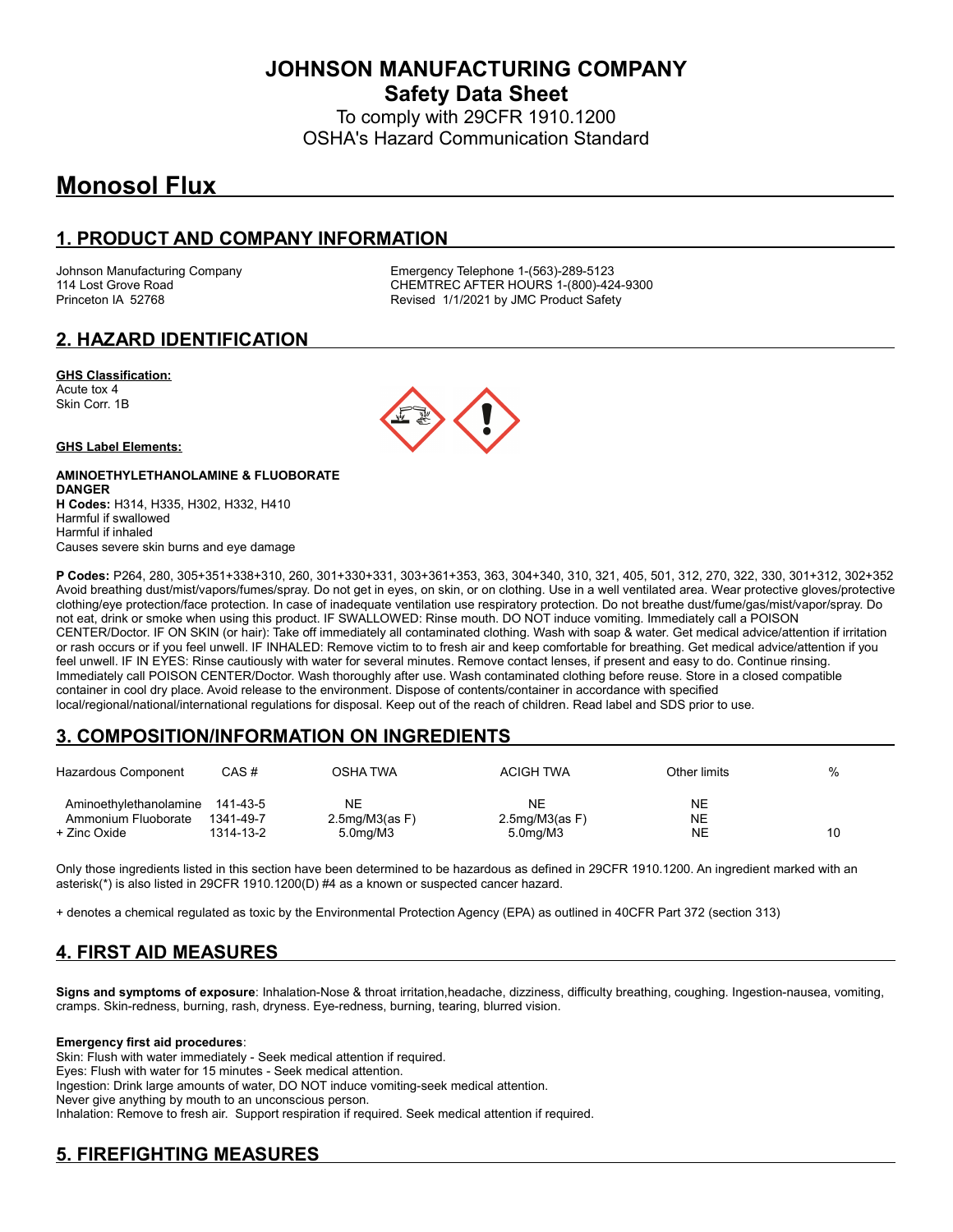**JOHNSON MANUFACTURING COMPANY Safety Data Sheet**

To comply with 29CFR 1910.1200 OSHA's Hazard Communication Standard

# **Monosol Flux**

#### **1. PRODUCT AND COMPANY INFORMATION**

Johnson Manufacturing Company Emergency Telephone 1-(563)-289-5123 114 Lost Grove Road **CHEMTREC AFTER HOURS 1-(800)-424-9300**<br>Princeton IA 52768 **CHEMTREC AFTER HOURS 1-1000** Revised 1/1/2021 by JMC Product Safety

### **2. HAZARD IDENTIFICATION**

#### **GHS Classification:**

Acute tox 4 Skin Corr. 1B

#### **GHS Label Elements:**

#### **AMINOETHYLETHANOLAMINE & FLUOBORATE DANGER H Codes:** H314, H335, H302, H332, H410 Harmful if swallowed Harmful if inhaled Causes severe skin burns and eye damage

**P Codes:** P264, 280, 305+351+338+310, 260, 301+330+331, 303+361+353, 363, 304+340, 310, 321, 405, 501, 312, 270, 322, 330, 301+312, 302+352 Avoid breathing dust/mist/vapors/fumes/spray. Do not get in eyes, on skin, or on clothing. Use in a well ventilated area. Wear protective gloves/protective clothing/eye protection/face protection. In case of inadequate ventilation use respiratory protection. Do not breathe dust/fume/gas/mist/vapor/spray. Do not eat, drink or smoke when using this product. IF SWALLOWED: Rinse mouth. DO NOT induce vomiting. Immediately call a POISON CENTER/Doctor. IF ON SKIN (or hair): Take off immediately all contaminated clothing. Wash with soap & water. Get medical advice/attention if irritation or rash occurs or if you feel unwell. IF INHALED: Remove victim to to fresh air and keep comfortable for breathing. Get medical advice/attention if you feel unwell. IF IN EYES: Rinse cautiously with water for several minutes. Remove contact lenses, if present and easy to do. Continue rinsing. Immediately call POISON CENTER/Doctor. Wash thoroughly after use. Wash contaminated clothing before reuse. Store in a closed compatible container in cool dry place. Avoid release to the environment. Dispose of contents/container in accordance with specified local/regional/national/international regulations for disposal. Keep out of the reach of children. Read label and SDS prior to use.

#### **3. COMPOSITION/INFORMATION ON INGREDIENTS**

| Hazardous Component                                                    | CAS #                  | OSHA TWA                                                    | <b>ACIGH TWA</b>                                     | Other limits          | %  |
|------------------------------------------------------------------------|------------------------|-------------------------------------------------------------|------------------------------------------------------|-----------------------|----|
| Aminoethylethanolamine 141-43-5<br>Ammonium Fluoborate<br>+ Zinc Oxide | 1341-49-7<br>1314-13-2 | <b>NE</b><br>$2.5$ mg/M $3$ (as F)<br>5.0 <sub>ma</sub> /M3 | NΕ<br>$2.5$ mg/M $3$ (as F)<br>5.0 <sub>mq</sub> /M3 | <b>NE</b><br>NE<br>NE | 10 |

Only those ingredients listed in this section have been determined to be hazardous as defined in 29CFR 1910.1200. An ingredient marked with an asterisk(\*) is also listed in 29CFR 1910.1200(D) #4 as a known or suspected cancer hazard.

+ denotes a chemical regulated as toxic by the Environmental Protection Agency (EPA) as outlined in 40CFR Part 372 (section 313)

# **4. FIRST AID MEASURES**

**Signs and symptoms of exposure**: Inhalation-Nose & throat irritation,headache, dizziness, difficulty breathing, coughing. Ingestion-nausea, vomiting, cramps. Skin-redness, burning, rash, dryness. Eye-redness, burning, tearing, blurred vision.

#### **Emergency first aid procedures**:

Skin: Flush with water immediately - Seek medical attention if required. Eyes: Flush with water for 15 minutes - Seek medical attention. Ingestion: Drink large amounts of water, DO NOT induce vomiting-seek medical attention. Never give anything by mouth to an unconscious person. Inhalation: Remove to fresh air. Support respiration if required. Seek medical attention if required.

# **5. FIREFIGHTING MEASURES**

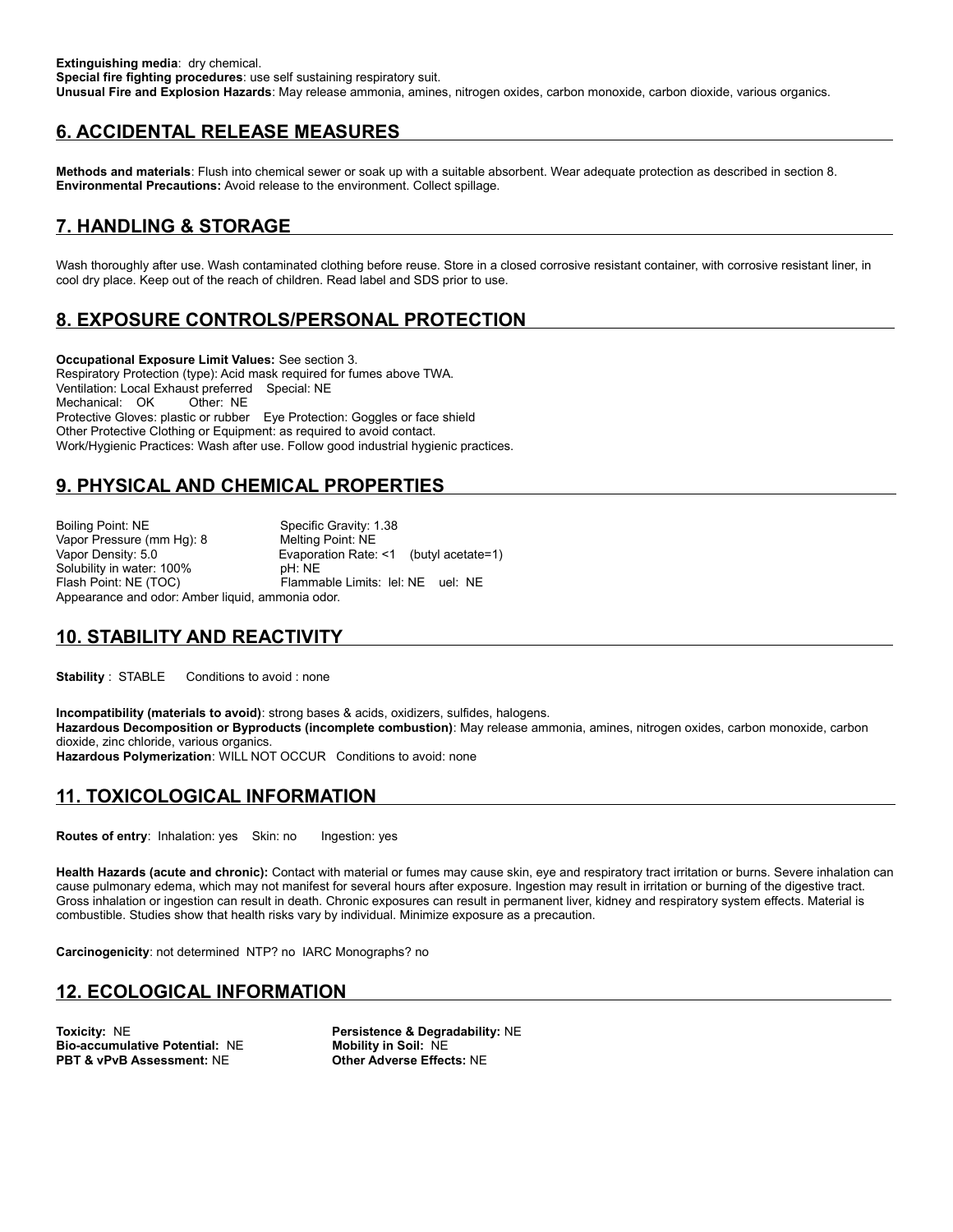# **6. ACCIDENTAL RELEASE MEASURES**

**Methods and materials**: Flush into chemical sewer or soak up with a suitable absorbent. Wear adequate protection as described in section 8. **Environmental Precautions:** Avoid release to the environment. Collect spillage.

# **7. HANDLING & STORAGE**

Wash thoroughly after use. Wash contaminated clothing before reuse. Store in a closed corrosive resistant container, with corrosive resistant liner, in cool dry place. Keep out of the reach of children. Read label and SDS prior to use.

### **8. EXPOSURE CONTROLS/PERSONAL PROTECTION**

**Occupational Exposure Limit Values:** See section 3. Respiratory Protection (type): Acid mask required for fumes above TWA. Ventilation: Local Exhaust preferred Special: NE Mechanical: OK Other: NE Protective Gloves: plastic or rubber Eye Protection: Goggles or face shield Other Protective Clothing or Equipment: as required to avoid contact. Work/Hygienic Practices: Wash after use. Follow good industrial hygienic practices.

# **9. PHYSICAL AND CHEMICAL PROPERTIES**

Boiling Point: NE Specific Gravity: 1.38 Vapor Pressure (mm Hg): 8 Melting Point: NE<br>Vapor Density: 5.0 General Mexicon Rate: Evaporation Rate: <1 (butyl acetate=1) Solubility in water: 100% pH: NE<br>Flash Point: NE (TOC) Flamma Flammable Limits: lel: NE uel: NE Appearance and odor: Amber liquid, ammonia odor.

# **10. STABILITY AND REACTIVITY**

**Stability** : STABLE Conditions to avoid : none

**Incompatibility (materials to avoid)**: strong bases & acids, oxidizers, sulfides, halogens. **Hazardous Decomposition or Byproducts (incomplete combustion)**: May release ammonia, amines, nitrogen oxides, carbon monoxide, carbon dioxide, zinc chloride, various organics. **Hazardous Polymerization**: WILL NOT OCCUR Conditions to avoid: none

#### **11. TOXICOLOGICAL INFORMATION**

**Routes of entry**: Inhalation: yes Skin: no Ingestion: yes

**Health Hazards (acute and chronic):** Contact with material or fumes may cause skin, eye and respiratory tract irritation or burns. Severe inhalation can cause pulmonary edema, which may not manifest for several hours after exposure. Ingestion may result in irritation or burning of the digestive tract. Gross inhalation or ingestion can result in death. Chronic exposures can result in permanent liver, kidney and respiratory system effects. Material is combustible. Studies show that health risks vary by individual. Minimize exposure as a precaution.

**Carcinogenicity**: not determined NTP? no IARC Monographs? no

#### **12. ECOLOGICAL INFORMATION**

**Bio-accumulative Potential:** NE **Mobility in Soil:** NE **PBT & vPvB Assessment: NE** 

**Toxicity:** NE **Persistence & Degradability:** NE